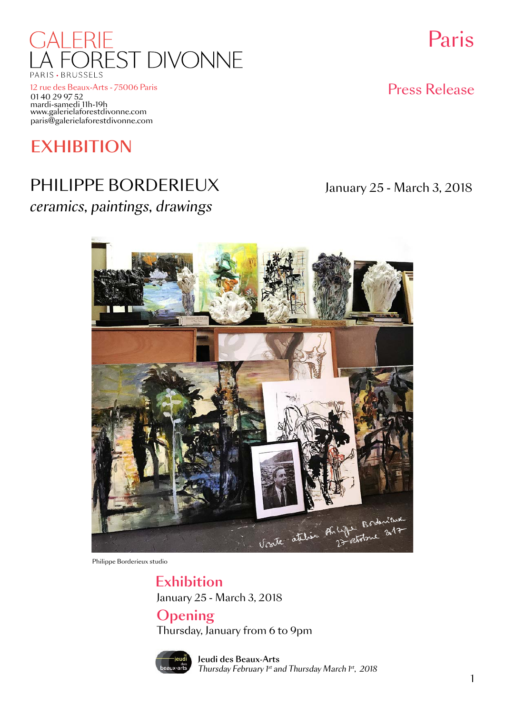

12 rue des Beaux-Arts - 75006 Paris www.galerielaforestdivonne.com paris@galerielaforestdivonne.com mardi-samedi 11h-19h 01 40 29 97 52

# **EXHIBITION**

# PHILIPPE BORDERIEUX January 25 - March 3, 2018 *ceramics, paintings, drawings*

Paris

Press Release



Philippe Borderieux studio

January 25 - March 3, 2018 Exhibition

Opening Thursday, January from 6 to 9pm



Jeudi des Beaux-Arts *Thursday February 1st and Thursday March 1st, 2018*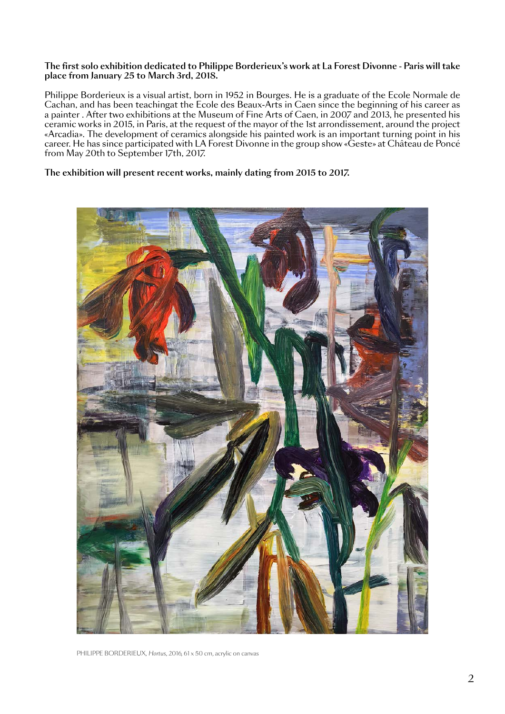## The first solo exhibition dedicated to Philippe Borderieux's work at La Forest Divonne - Paris will take place from January 25 to March 3rd, 2018.

Philippe Borderieux is a visual artist, born in 1952 in Bourges. He is a graduate of the Ecole Normale de Cachan, and has been teachingat the Ecole des Beaux-Arts in Caen since the beginning of his career as a painter . After two exhibitions at the Museum of Fine Arts of Caen, in 2007 and 2013, he presented his ceramic works in 2015, in Paris, at the request of the mayor of the 1st arrondissement, around the project «Arcadia». The development of ceramics alongside his painted work is an important turning point in his career. He has since participated with LA Forest Divonne in the group show «Geste» at Château de Poncé from May 20th to September 17th, 2017.

## The exhibition will present recent works, mainly dating from 2015 to 2017.



PHILIPPE BORDERIEUX, *Hortus,* 2016, 61 x 50 cm, acrylic on canvas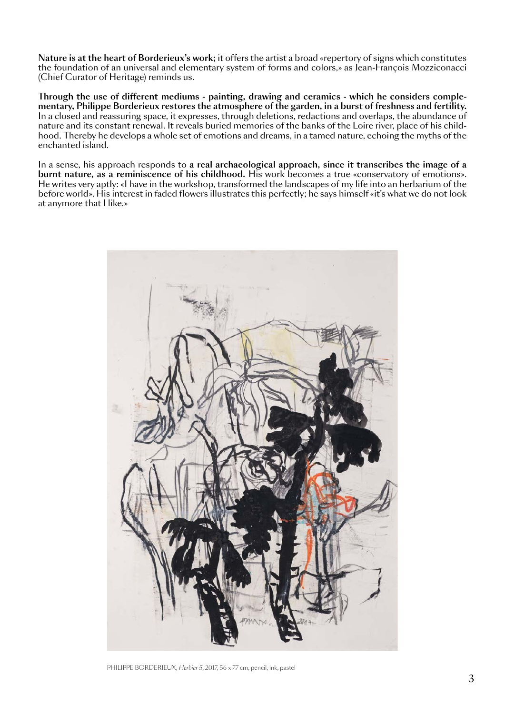Nature is at the heart of Borderieux's work; it offers the artist a broad «repertory of signs which constitutes the foundation of an universal and elementary system of forms and colors,» as Jean-François Mozziconacci (Chief Curator of Heritage) reminds us.

Through the use of different mediums - painting, drawing and ceramics - which he considers complementary, Philippe Borderieux restores the atmosphere of the garden, in a burst of freshness and fertility. In a closed and reassuring space, it expresses, through deletions, redactions and overlaps, the abundance of nature and its constant renewal. It reveals buried memories of the banks of the Loire river, place of his childhood. Thereby he develops a whole set of emotions and dreams, in a tamed nature, echoing the myths of the enchanted island.

In a sense, his approach responds to a real archaeological approach, since it transcribes the image of a burnt nature, as a reminiscence of his childhood. His work becomes a true «conservatory of emotions». He writes very aptly: «I have in the workshop, transformed the landscapes of my life into an herbarium of the before world». His interest in faded flowers illustrates this perfectly; he says himself «it's what we do not look at anymore that I like.»



PHILIPPE BORDERIEUX, *Herbier 5,* 2017, 56 x 77 cm, pencil, ink, pastel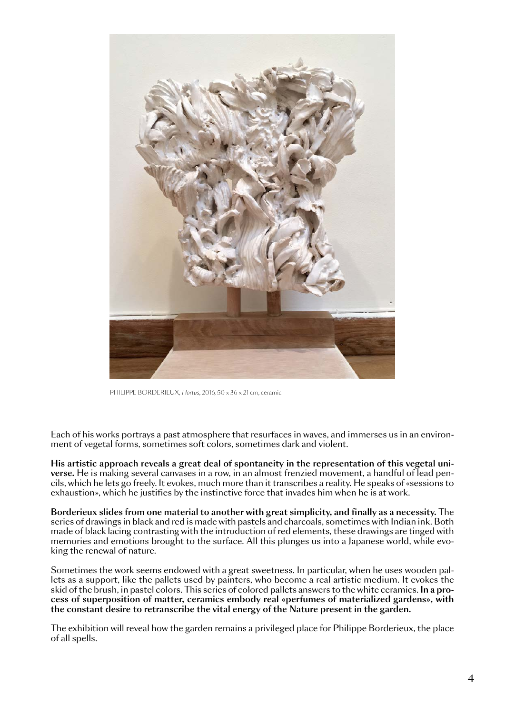

PHILIPPE BORDERIEUX, *Hortus,* 2016, 50 x 36 x 21 cm, ceramic

Each of his works portrays a past atmosphere that resurfaces in waves, and immerses us in an environment of vegetal forms, sometimes soft colors, sometimes dark and violent.

His artistic approach reveals a great deal of spontaneity in the representation of this vegetal universe. He is making several canvases in a row, in an almost frenzied movement, a handful of lead pencils, which he lets go freely. It evokes, much more than it transcribes a reality. He speaks of «sessions to exhaustion», which he justifies by the instinctive force that invades him when he is at work.

Borderieux slides from one material to another with great simplicity, and finally as a necessity. The series of drawings in black and red is made with pastels and charcoals, sometimes with Indian ink. Both made of black lacing contrasting with the introduction of red elements, these drawings are tinged with memories and emotions brought to the surface. All this plunges us into a Japanese world, while evoking the renewal of nature.

Sometimes the work seems endowed with a great sweetness. In particular, when he uses wooden pallets as a support, like the pallets used by painters, who become a real artistic medium. It evokes the skid of the brush, in pastel colors. This series of colored pallets answers to the white ceramics. In a process of superposition of matter, ceramics embody real «perfumes of materialized gardens», with the constant desire to retranscribe the vital energy of the Nature present in the garden.

The exhibition will reveal how the garden remains a privileged place for Philippe Borderieux, the place of all spells.